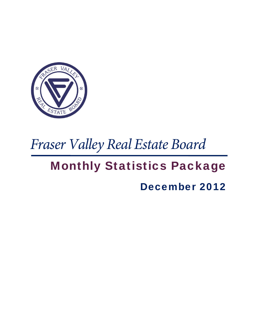

# *Fraser Valley Real Estate Board*

## Monthly Statistics Package

## December 2012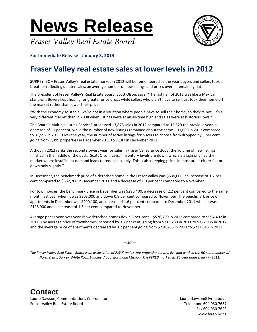**News Release**





**For Immediate Release: January 3, 2013**

### **Fraser Valley real estate sales at lower levels in 2012**

SURREY, BC – Fraser Valley's real estate market in 2012 will be remembered as the year buyers and sellers took a breather reflecting quieter sales, an average number of new listings and prices overall remaining flat.

The president of Fraser Valley's Real Estate Board, Scott Olson, says, "The last half of 2012 was like a Mexican stand-off. Buyers kept hoping for greater price drops while sellers who didn't have to sell just took their home off the market rather than lower their price.

"With the economy so stable, we're not in a situation where people have to sell their home, so they're not. It's a very different market than in 2008 when listings were at an all‐time high and sales were at historical lows."

The Board's Multiple Listing Service® processed 13,878 sales in 2012 compared to 15,529 the previous year, a decrease of 11 per cent, while the number of new listings remained about the same – 31,009 in 2012 compared to 31,592 in 2011. Over the year, the number of active listings for buyers to choose from dropped by 3 per cent going from 7,399 properties in December 2011 to 7,187 in December 2012.

Although 2012 ranks the second slowest year for sales in Fraser Valley since 2003, the volume of new listings finished in the middle of the pack. Scott Olson, says, "Inventory levels are down, which is a sign of a healthy market where insufficient demand leads to reduced supply. This is also keeping prices in most areas either flat or down only slightly."

In December, the benchmark price of a detached home in the Fraser Valley was \$539,000, an increase of 1.2 per cent compared to \$532,700 in December 2011 and a decrease of 1.0 per cent compared to November.

For townhouses, the benchmark price in December was \$296,400, a decrease of 2.2 per cent compared to the same month last year when it was \$303,000 and down 0.8 per cent compared to November. The benchmark price of apartments in December was \$200,100, an increase of 1.6 per cent compared to December 2011 when it was \$196,900 and a decrease of 1.3 per cent compared to November.

Average prices year over year show detached homes down 3 per cent – \$576,709 in 2012 compared to \$594,402 in 2011. The average price of townhomes increased by 3.7 per cent, going from \$316,259 in 2011 to \$327,935 in 2012 and the average price of apartments decreased by 0.2 per cent going from \$218,235 in 2011 to \$217,843 in 2012.

*—30 —*

The Fraser Valley Real Estate Board is an association of 2,835 real estate professionals who live and work in the BC communities of North Delta, Surrey, White Rock, Langley, Abbotsford, and Mission. The FVREB marked its 90-year anniversary in 2011.

**Contact**  Laurie Dawson, Communications Coordinator **1990** and 1990 and 1990 and 1990 and 1990 and 1990 and 1990 and 1990 and 1990 and 1990 and 1990 and 1990 and 1990 and 1990 and 1990 and 1990 and 1990 and 1990 and 1990 and 1990 an Fraser Valley Real Estate Board Telephone 604.930.7657

 Fax 604.930.7623 www.fvreb.bc.ca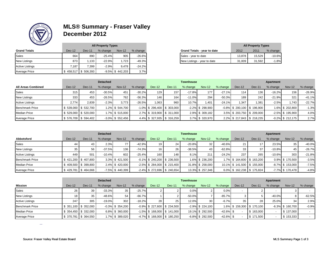

#### **MLS® Summary - Fraser Valley December 2012**

| $\sim$ $\sim$          |        |                       | <b>All Property Types</b> |                     |          |                             |        | <b>All Property Types</b> |          |
|------------------------|--------|-----------------------|---------------------------|---------------------|----------|-----------------------------|--------|---------------------------|----------|
| <b>Grand Totals</b>    | Dec-12 | $Dec-11$              | % change                  | <b>Nov-12</b>       | % change | Grand Totals - year to date | 2012   | 2011                      | % change |
| Sales                  | 664    | 890                   | $-25.4%$                  | 905                 | $-26.6%$ | Sales - year to date        | 13.878 | 15.529                    | $-10.6%$ |
| <b>New Listings</b>    | 873    | .133                  | $-22.9%$                  | .723                | $-49.3%$ | New Listings - year to date | 31,009 | 31,592                    | $-1.8%$  |
| <b>Active Listings</b> | 7.187  | 7.399                 | $-2.9%$                   | 9.478               | $-24.2%$ |                             |        |                           |          |
| <b>Average Price</b>   |        | $$458,517$ $$506,393$ |                           | $-9.5\%$ \$ 442,203 | 3.7%     |                             |        |                           |          |

|    | <b>All Property Types</b> |               |          |                             |        | <b>All Property Types</b> |          |
|----|---------------------------|---------------|----------|-----------------------------|--------|---------------------------|----------|
|    | % change                  | <b>Nov-12</b> | % change | Grand Totals - year to date | 2012   | 2011                      | % change |
| 9O | $-25.4%$                  | 905           | $-26.6%$ | Sales - year to date        | 13.878 | 15.529                    | $-10.6%$ |
| 33 | $-22.9%$                  | 1.723         | $-49.3%$ | New Listings - year to date | 31.009 | 31.592                    | $-1.8%$  |

|                           |        |                       | <b>Detached</b> |                     |          |          |                                | <b>Townhouse</b> |                     |          |                                |        | Apartment |                     |          |
|---------------------------|--------|-----------------------|-----------------|---------------------|----------|----------|--------------------------------|------------------|---------------------|----------|--------------------------------|--------|-----------|---------------------|----------|
| <b>All Areas Combined</b> | Dec-12 | Dec-11                | % change        | <b>Nov-12</b>       | % change | $Dec-12$ | <b>Dec-11</b>                  | % change         | <b>Nov-12</b>       | % change | Dec-12                         | Dec-11 | % change  | <b>Nov-12</b>       | % change |
| <b>Sales</b>              | 315    | 453                   | $-30.5%$        | 451                 | $-30.2%$ | 129      | 157                            | $-17.8%$         | 177                 | $-27.1%$ | 114.                           | 136    | $-16.2%$  | 156                 | $-26.9%$ |
| <b>New Listings</b>       | 333    | 453                   | $-26.5%$        | 762                 | $-56.3%$ | 146      | 164                            | $-11.0%$         | 294                 | $-50.3%$ | 189                            | 242    | -21.9%l   | 321                 | $-41.1%$ |
| <b>Active Listings</b>    | 2.774  | 2.839                 | $-2.3%$         | 3.773               | $-26.5%$ | 1,063    | 960                            | 10.7%            | .401                | $-24.1%$ | 1.347                          | 1.381  | $-2.5%$   | 1.743.              | $-22.7%$ |
| <b>Benchmark Price</b>    |        | $$539,000$ $$532,700$ |                 | 1.2% \$544,700      |          |          | $-1.0\%$ \$ 296,400 \$ 303,000 |                  | $-2.2\%$ \$ 298,900 |          | $-0.8\%$ \$ 200,100 \$ 196,900 |        |           | 1.6% \$ 202,800     | $-1.3%$  |
| <b>Median Price</b>       |        | $$529,000$ $$520,000$ |                 | 1.7% \$ 515.000     |          |          | 2.7% \$319.900 \$311.000       |                  | 2.9% \$ 309.182     |          | 3.5% \$203.750 \$209.000       |        |           | $-2.5\%$ \$ 195.900 | 4.0%     |
| Average Price             |        | \$576,709 \$594,402   |                 | $-3.0\%$ \$ 552,456 |          |          | 4.4% \$327,935 \$316,259       |                  | 3.7% \$320,970      |          | 2.2% \$217,843 \$218,235       |        |           | $-0.2\%$ \$ 212,175 | 2.7%     |

|                        |        |                       | <b>Detached</b> |                     |          |                 |                                | <b>Townhouse</b> |                  |          |                           |        | Apartment |                     |          |
|------------------------|--------|-----------------------|-----------------|---------------------|----------|-----------------|--------------------------------|------------------|------------------|----------|---------------------------|--------|-----------|---------------------|----------|
| Abbotsford             | Dec-12 | Dec-11                | % change        | Nov-12              | % change | $Dec-12$        | Dec-11                         | % change         | <b>Nov-12</b>    | % change | Dec-12                    | Dec-11 | % change  | <b>Nov-12</b>       | % change |
| Sales                  |        | 43                    | 2.3%            |                     | $-42.9%$ | 19              | 24                             | $-20.8%$         | 32               | $-40.6%$ |                           |        | 23.5%     | 35                  | $-40.0%$ |
| <b>New Listings</b>    | 35     | 56                    | $-37.5%$        | 136                 | $-74.3%$ | 16 <sub>1</sub> | 26                             | $-38.5%$         | 43               | $-62.8%$ | 33                        | 37     | $-10.8%$  | 45                  | $-26.7%$ |
| <b>Active Listings</b> | 449    | 501                   | $-10.4%$        | 602                 | $-25.4%$ | 160             | 148                            | 8.1%             | 211              | $-24.2%$ | 237                       | 265    | $-10.6%$  | 303                 | $-21.8%$ |
| <b>Benchmark Price</b> |        | $$421.200$ $$407.800$ |                 | 3.3% \$421,500      |          |                 | $-0.1\%$ \$ 240,200 \$ 236,500 |                  | 1.6% \$236,200   |          | 1.7% \$164.600 \$163.200  |        |           | 0.9% \$170.500      | $-3.5%$  |
| <b>Median Price</b>    |        | $$409.500$ $$399.800$ |                 | 2.4% \$420.000      |          |                 | $-2.5\%$ \$ 284,000 \$ 215,400 |                  | 31.8% \$ 258.000 |          | 10.1% \$141.500 \$155.000 |        |           | $-8.7\%$ \$ 153,000 | $-7.5%$  |
| Average Price          |        | $$429,781$ $$464,666$ |                 | $-7.5\%$ \$ 440,399 |          |                 | $-2.4\%$ \$ 272,696 \$ 240,654 |                  | 13.3% \$ 257,346 |          | 6.0% \$162,238 \$175,824  |        |           | $-7.7\%$ \$ 170,478 | $-4.8%$  |

|                        |                       |                         | <b>Detached</b> |                     |          |                                |        | <b>Townhouse</b> |                     |              |                          |           | Apartment |                     |          |
|------------------------|-----------------------|-------------------------|-----------------|---------------------|----------|--------------------------------|--------|------------------|---------------------|--------------|--------------------------|-----------|-----------|---------------------|----------|
| Mission                | Dec-12                | Dec-11                  | % change        | <b>Nov-12</b>       | % change | Dec-12                         | Dec-11 | % change         | Nov-12              | % change     | $Dec-12$                 | Dec-11    | % change  | <b>Nov-12</b>       | % change |
| <b>Sales</b>           |                       | 39                      | $-33.3%$        | 35                  | $-25.7%$ |                                |        | 0.0%             |                     | 0.0%         |                          |           |           |                     |          |
| <b>New Listings</b>    |                       | 35                      | $-48.6%$        | 54                  | $-66.7%$ |                                |        | $-50.0\%$        |                     | $-85.7%$     |                          |           | $-40.0%$  |                     | $-62.5%$ |
| <b>Active Listings</b> | 247                   | 305                     | $-19.0%$        | 302                 | $-18.2%$ | 28                             | 25     | 12.0%            | 30                  | $-6.7%$      | 35                       | 28        | 25.0%     | 34                  | 2.9%     |
| <b>Benchmark Price</b> | $$351,100$ $$352,000$ |                         |                 | $-0.3\%$ \$ 354.200 |          | $-0.9\%$ \$ 227.600 \$ 234.500 |        |                  | $-2.9\%$ \$ 224.100 |              | 1.6% \$159.300 \$170.100 |           |           | $-6.3\%$ \$ 160.700 | $-0.9%$  |
| <b>Median Price</b>    | $$354,450$ $$332,000$ |                         |                 | 6.8% \$ 360,000     |          | $-1.5\%$ \$ 168,000 \$ 141,000 |        |                  | 19.1% \$ 292,500    | $-42.6\%$ \$ |                          | 163,000   |           | \$137,000           |          |
| Average Price          |                       | \$ 370,781   \$ 364,550 |                 | 1.7% \$389,020      |          | $-4.7\%$ \$ 168,000 \$ 180,250 |        |                  | $-6.8\%$ \$ 292,500 | $-42.6\%$ \$ |                          | \$171.500 |           | \$153,333           |          |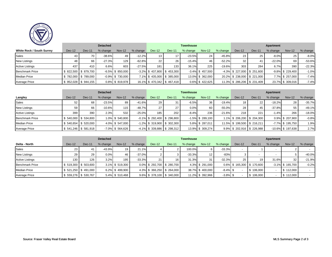

| <b>POTATE</b>                    |        |                     | <b>Detached</b> |                     |          |                                |        | <b>Townhouse</b> |                     |          |                                |        | Apartment |                     |          |
|----------------------------------|--------|---------------------|-----------------|---------------------|----------|--------------------------------|--------|------------------|---------------------|----------|--------------------------------|--------|-----------|---------------------|----------|
| <b>White Rock / South Surrey</b> | Dec-12 | Dec-11              | % change        | <b>Nov-12</b>       | % change | $Dec-12$                       | Dec-11 | % change         | Nov-12              | % change | $Dec-12$                       | Dec-11 | % change  | <b>Nov-12</b>       | % change |
| <b>Sales</b>                     | 43     | 70                  | $-38.6%$        | 49                  | $-12.2%$ | 13 <sub>1</sub>                | 17     | $-23.5%$         | 24                  | $-45.8%$ | 23 <sub>1</sub>                | 25     | $-8.0%$   | 25                  | $-8.0%$  |
| <b>New Listings</b>              | 48     | 66                  | $-27.3%$        | 129                 | $-62.8%$ | 22                             | 26     | $-15.4%$         | 46                  | $-52.2%$ | 32 <sub>1</sub>                |        | $-22.0%$  | 69                  | $-53.6%$ |
| <b>Active Listings</b>           | 437    | 410                 | 6.6%            | 603                 | $-27.5%$ | 181                            | 133    | 36.1%            | 225                 | $-19.6%$ | 303 <sub>1</sub>               | 284    | 6.7%      | 390                 | $-22.3%$ |
| <b>Benchmark Price</b>           |        | \$822,500 \$879,700 |                 | $-6.5\%$ \$ 850,000 |          | $-3.2\%$ \$ 437,800 \$ 453,300 |        |                  | $-3.4\%$ \$ 457,500 |          | $-4.3\%$ \$ 227,000 \$ 251,600 |        |           | $-9.8\%$ \$ 229,400 | $-1.0%$  |
| <b>Median Price</b>              |        | 782,000 \$789,000   |                 | $-0.9\%$ \$ 730,000 |          | 7.1% \$435,000 \$385,000       |        |                  | 13.0% \$ 362,000    |          | 20.2% \$238,000 \$221,000      |        |           | 7.7% \$ 257,000     | $-7.4%$  |
| Average Price                    |        | 952,028 \$944,155   |                 | 0.8% \$819,978      |          | 16.1% \$470,342 \$467,418      |        |                  | 0.6% \$422,625      |          | 11.3% \$ 286,206 \$ 231,409    |        |           | 23.7% \$ 309,016    | $-7.4%$  |

|                        |        |                         | <b>Detached</b> |                     |          |                                |               | <b>Townhouse</b> |                     |          |                           |                               | Apartment |                      |           |
|------------------------|--------|-------------------------|-----------------|---------------------|----------|--------------------------------|---------------|------------------|---------------------|----------|---------------------------|-------------------------------|-----------|----------------------|-----------|
| Langley                | Dec-12 | Dec-11                  | % change        | $Nov-12$            | % change | Dec-12                         | <b>Dec-11</b> | % change         | Nov-12              | % change | Dec-12                    | Dec-11                        | % change  | <b>Nov-12</b>        | % change  |
| <b>Sales</b>           | 52     | 68                      | $-23.5%$        | 89                  | $-41.6%$ | 29 <sub>l</sub>                | 31            | $-6.5%$          | 36                  | $-19.4%$ | 18 <sub>1</sub>           | 22                            | $-18.2%$  | 28                   | $-35.7%$  |
| <b>New Listings</b>    | 59     | 66                      | $-10.6\%$       | 115                 | $-48.7%$ | 27                             | 27            | 0.0%             | 60                  | $-55.0%$ | 28                        | 45                            | $-37.8%$  | 55                   | $-49.1%$  |
| <b>Active Listings</b> | 399    | 390                     | 2.3%            | 532                 | $-25.0%$ | 185                            | 202           | $-8.4%$          | 236                 | $-21.6%$ | 218                       | 221                           | $-1.4%$   | 266                  | $-18.0\%$ |
| <b>Benchmark Price</b> |        | $$540,000$ $$534,800$   |                 | 1.0% \$ 540,800     |          | $-0.1\%$ \$ 292,400 \$ 296,800 |               |                  | $-1.5\%$ \$ 289,100 |          |                           | 1.1% \$ 206,200 \$ 204,300    |           | 0.9% \$ 207,900      | $-0.8%$   |
| <b>Median Price</b>    |        | $$540.654$ $$520.000$   |                 | 4.0% \$547,000      |          | $-1.2\%$ \$ 319,900 \$ 302,300 |               |                  | 5.8% \$ 287,011     |          | 11.5% \$199,500 \$216,211 |                               |           | $-7.7\%$ \$ 195,750  | 1.9%      |
| Average Price          |        | $$541,246$ \ $$581,918$ |                 | $-7.0\%$ \$ 564,626 |          | $-4.1\%$ \$ 339,886 \$ 298,312 |               |                  | 13.9% \$ 309,274    |          |                           | $9.9\%$ \$ 202,916 \$ 226,988 |           | $-10.6\%$ \$ 197,638 | 2.7%      |

|                        |          |                        | <b>Detached</b> |                 |          |                               |               | <b>Townhouse</b> |                   |             |                 |                          | Apartment |                     |           |
|------------------------|----------|------------------------|-----------------|-----------------|----------|-------------------------------|---------------|------------------|-------------------|-------------|-----------------|--------------------------|-----------|---------------------|-----------|
| Delta - North          | $Dec-12$ | Dec-11                 | % change        | Nov-12          | % change | $Dec-12$                      | <b>Dec-11</b> | % change         | <b>Nov-12</b>     | % change    | Dec-12          | Dec-11                   | % change  | Nov-12              | % change  |
| Sales                  | 23       | -41                    | $-43.9%$        | 19              | 21.1%    |                               |               | 100.0%           |                   | $-33.3%$    | $\sim$          |                          |           |                     |           |
| <b>New Listings</b>    | 29       | 29                     | 0.0%            | 46              | $-37.0%$ |                               |               | $-33.3%$         | $12 \overline{ }$ | $-83%$      |                 |                          |           |                     | $-40.0\%$ |
| <b>Active Listings</b> | 130      | 126                    | 3.2%            | 195             | $-33.3%$ | 21                            | 16            | 31.3%            | 31                | $-32.3%$    | 25 <sub>1</sub> | 19                       | 31.6%     | 32                  | $-21.9%$  |
| <b>Benchmark Price</b> |          | $$519.300$ $$503.600$  |                 | 3.1% \$519,300  |          | 0.0% \$292.700 \$280.700      |               |                  | 4.3% \$ 291,000   |             |                 | 0.6% \$165,300 \$170,600 |           | $-3.1\%$ \$ 165,700 | $-0.2%$   |
| <b>Median Price</b>    |          | $$521,250$ $$491,000$  |                 | 6.2% \$499,900  |          | 4.3% \$366,250 \$264,000      |               |                  | 38.7% \$400,000   | $-8.4\%$ \$ |                 | \$106,000                |           | \$112,000           |           |
| <b>Average Price</b>   |          | $$559,276$ \ \$530,767 |                 | 5.4% \$ 510,468 |          | $9.6\%$ \$ 378,100 \$ 340,000 |               |                  | 11.2% \$ 392,966  | $-3.8\%$ \$ |                 | \$106,000                |           | \$112,000           |           |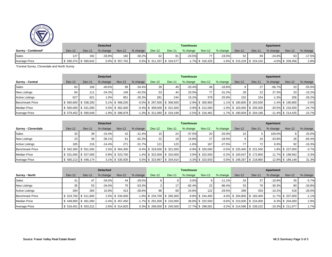

| <b>ESTATE B</b>      |        |                       | <b>Detached</b> |                    |          |                            |               | <b>Townhouse</b> |                     |          |        |                                | Apartment |                     |          |
|----------------------|--------|-----------------------|-----------------|--------------------|----------|----------------------------|---------------|------------------|---------------------|----------|--------|--------------------------------|-----------|---------------------|----------|
| Surrey - Combined*   | Dec-12 | <b>Dec-11</b>         | % change        | <b>Nov-12</b>      | % change | $Dec-12$                   | <b>Dec-11</b> | % change         | <b>Nov-12</b>       | % change | Dec-12 | Dec-11                         | % change  | <b>Nov-12</b>       | % change |
| Sales                | 127    | 192                   | $-33.9%$        | 182                | $-30.2%$ | 62                         | 81            | $-23.5%$         | 77                  | $-19.5%$ | 52     | 69                             | $-24.6%$  | 63                  | $-17.5%$ |
| <b>Average Price</b> |        | $$560,374$ $$560,642$ |                 | $0.0\%$ \$ 557,702 |          | 0.5% \$ 311,337 \$ 316,577 |               |                  | $-1.7\%$ \$ 316,325 |          |        | $-1.6\%$ \$ 215,229 \$ 224,102 |           | $-4.0\%$ \$ 209,356 | 2.8%     |

\*Central Surrey, Cloverdale and North Surrey

|                         |        |                     | <b>Detached</b> |                     |          |                                |        | <b>Townhouse</b> |                     |          |                                |                                | Apartment |                      |          |
|-------------------------|--------|---------------------|-----------------|---------------------|----------|--------------------------------|--------|------------------|---------------------|----------|--------------------------------|--------------------------------|-----------|----------------------|----------|
| <b>Surrey - Central</b> | Dec-12 | $Dec-11$            | % change        | <b>Nov-12</b>       | % change | $Dec-12$                       | Dec-11 | % change         | Nov-12              | % change | $Dec-12$                       | Dec-11                         | % change  | <b>Nov-12</b>        | % change |
| <b>Sales</b>            | 63     | 106                 | $-40.6%$        | 96                  | $-34.4%$ | 39                             | 49     | $-20.4%$         | 48                  | $-18.8%$ |                                | 27                             | $-66.7%$  | 20                   | $-55.0%$ |
| <b>New Listings</b>     | 84     | 111                 | $-24.3%$        | 146                 | $-42.5%$ | 53                             | 44     | 20.5%            | 77                  | $-31.2%$ | 28                             | 22                             | 27.3%     | 33                   | $-15.2%$ |
| <b>Active Listings</b>  | 627    | 621                 | 1.0%            | 851                 | $-26.3%$ | 281                            | 244    | 15.2%            | 379                 | $-25.9%$ | 152 <sub>1</sub>               | 154                            | $-1.3%$   | 206                  | $-26.2%$ |
| <b>Benchmark Price</b>  |        | \$565,600 \$538,200 |                 | 5.1% \$ 568,200     |          | $-0.5\%$ \$ 297,500 \$ 306,500 |        |                  | $-2.9\%$ \$ 300,900 |          | $-1.1\%$ \$ 190.800 \$ 193.500 |                                |           | $-1.4\%$ \$ 190,800  | 0.0%     |
| <b>Median Price</b>     |        | \$560,000 \$531,000 |                 | 5.5% \$ 562,000     |          | $-0.4\%$ \$ 309,000 \$ 321,500 |        |                  | $-3.9\%$ \$ 312,000 |          | $-1.0\%$ \$ 163,000 \$ 205,000 |                                |           | $-20.5\%$ \$ 216.500 | $-24.7%$ |
| Average Price           |        | \$579,452 \$590,649 |                 | $-1.9\%$ \$ 586,878 |          | $-1.3\%$ \$ 311,060 \$ 319,199 |        |                  | $-2.5\%$ \$ 316,482 |          |                                | $-1.7\%$ \$ 180,839 \$ 204,166 |           | $-11.4\%$ \$ 214,425 | $-15.7%$ |

|                            |                 |                       | <b>Detached</b> |                |          |                 |                                | <b>Townhouse</b> |                     |          |                                |        | Apartment |                  |          |
|----------------------------|-----------------|-----------------------|-----------------|----------------|----------|-----------------|--------------------------------|------------------|---------------------|----------|--------------------------------|--------|-----------|------------------|----------|
| <b>Surrey - Cloverdale</b> | $Dec-12$        | Dec-11                | % change        | Nov-12         | % change | Dec-12          | Dec-11                         | % change         | Nov-12              | % change | $Dec-12$                       | Dec-11 | % change  | <b>Nov-12</b>    | % change |
| <b>Sales</b>               | 33              | 39                    | $-15.4%$        | 42             | $-21.4%$ | 15 <sup>1</sup> | 24                             | $-37.5%$         | 20                  | $-25.0%$ | 10 <sub>1</sub>                |        | 100.0%    |                  | 25.0%    |
| <b>New Listings</b>        | 23 <sub>1</sub> | 36                    | $-36.1%$        | 61             | $-62.3%$ | 22              | 19                             | 15.8%            | 27                  | $-18.5%$ |                                | 16     | $-43.8%$  | 26               | $-65.4%$ |
| <b>Active Listings</b>     | 185             | 216                   | $-14.4%$        | 271            | $-31.7%$ | 121             | 123                            | $-1.6%$          | 167                 | $-27.5%$ |                                | 72     | 6.9%      | 92               | $-16.3%$ |
| <b>Benchmark Price</b>     |                 | $$562,300$ $$551,500$ |                 | 2.0% \$564,300 |          |                 | $-0.4\%$ \$ 318,500 \$ 321,500 |                  | $-0.9\%$ \$ 320,000 |          | $-0.5\%$ \$ 225,400 \$ 221,500 |        |           | 1.8% \$ 227,000  | $-0.7%$  |
| <b>Median Price</b>        |                 | $$531,000$ $$527,000$ |                 | 0.8% \$523.700 |          |                 | 1.4% \$ 322,000 \$ 310,000     |                  | 3.9% \$ 322,500     |          | $-0.2\%$ \$ 193.047 \$ 172.800 |        |           | 11.7% \$ 199.562 | $-3.3%$  |
| <b>Average Price</b>       |                 | $$565,213$ $$548,174$ |                 | 3.1% \$535,935 |          |                 | 5.5% \$323,967 \$334,914       |                  | $-3.3\%$ \$ 323,933 |          | $0.0\%$ \$ 248,267 \$ 219,860  |        |           | 12.9% \$189,148  | 31.3%    |

|                        |        |                       | <b>Detached</b> |                     |          |                                |                 | <b>Townhouse</b> |                     |          |                                |        | Apartment |                      |          |
|------------------------|--------|-----------------------|-----------------|---------------------|----------|--------------------------------|-----------------|------------------|---------------------|----------|--------------------------------|--------|-----------|----------------------|----------|
| Surrey - North         | Dec-12 | Dec-11                | % change        | <b>Nov-12</b>       | % change | Dec-12                         | Dec-11          | % change         | <b>Nov-12</b>       | % change | $Dec-12$                       | Dec-11 | % change  | <b>Nov-12</b>        | % change |
| <b>Sales</b>           | 31     | 47                    | $-34.0%$        | 44                  | $-29.5%$ | 8.                             |                 | 0.0%             |                     | $-11.1%$ | 33                             | 37     | $-10.8%$  | 35                   | $-5.7%$  |
| <b>New Listings</b>    | 35     | 53                    | $-34.0%$        | 75                  | $-53.3%$ |                                | 17 <sup>1</sup> | $-82.4%$         | 22                  | $-86.4%$ | 53                             | 76     | $-30.3%$  | 80                   | $-33.8%$ |
| <b>Active Listings</b> | 294    | 265                   | 10.9%           | 413                 | $-28.8%$ | 86                             | 69              | 24.6%            | 122                 | $-29.5%$ | 299                            | 333    | $-10.2%$  | 418                  | $-28.5%$ |
| <b>Benchmark Price</b> |        | $$524,700$ $$511,800$ |                 | 2.5% \$ 534,500     |          | $-1.8\%$ \$ 234,700 \$ 260,300 |                 |                  | $-9.8\%$ \$ 244,400 |          | $-4.0\%$ \$ 204.800 \$ 183.400 |        |           | 11.7% \$ 207.000     | $-1.1%$  |
| <b>Median Price</b>    |        | $$449,900$ $$461,000$ |                 | $-2.4\%$ \$ 457,450 |          | $-1.7\%$ \$ 291,500 \$ 210,000 |                 |                  | 38.8% \$ 322,500    |          | $-9.6\%$ \$ 210.000 \$ 224.000 |        |           | $-6.3\%$ \$ 204,000  | 2.9%     |
| Average Price          |        | $$516,451$ $$503,312$ |                 | 2.6% \$514,820      |          | $0.3\%$ \$ 289,000 \$ 245,500  |                 |                  | 17.7% \$ 298,581    |          | $-3.2\%$ \$ 214,596 \$ 239,222 |        |           | $-10.3\%$ \$ 211,077 | 1.7%     |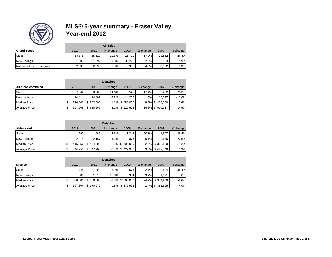

|                         |        | <b>All Sales</b> |           |        |          |        |          |  |  |  |  |  |  |
|-------------------------|--------|------------------|-----------|--------|----------|--------|----------|--|--|--|--|--|--|
| <b>Grand Totals</b>     | 2012   | 2011             | % change  | 2009   | % change | 2007   | % change |  |  |  |  |  |  |
| Sales                   | 13.878 | 15.529           | $-10.6\%$ | 16.721 | $-17.0%$ | 18.862 | $-26.4%$ |  |  |  |  |  |  |
| <b>New Listings</b>     | 31.009 | 31.592           | $-1.8%$   | 30.221 | 2.6%     | 32.953 | $-5.9%$  |  |  |  |  |  |  |
| Number of FVREB members | 2,835  | 2,893            | $-2.0%$   | 2.961  | $-4.3%$  | 3.092  | $-8.3%$  |  |  |  |  |  |  |

|                      | <b>Detached</b> |           |          |                     |          |                    |          |  |  |  |
|----------------------|-----------------|-----------|----------|---------------------|----------|--------------------|----------|--|--|--|
| All areas combined   | 2012            | 2011      | % change | 2009                | % change | 2007               | % change |  |  |  |
| <b>Sales</b>         | 7,062           | 8,269     | $-14.6%$ | 8.545               | $-17.4%$ | 9.202              | $-23.3%$ |  |  |  |
| New Listings         | 14.414          | 14.887    | $-3.2%$  | 14.235              | 1.3%     | 16.527             | $-12.8%$ |  |  |  |
| <b>Median Price</b>  | \$<br>536,000   | \$542,000 |          | $-1.1\%$ \$ 489,000 |          | $9.6\%$ \$ 476,000 | 12.6%    |  |  |  |
| <b>Average Price</b> | \$<br>597,608   | \$610.269 | $-2.1%$  | \$520,624           |          | 14.8% \$ 520,317   | 14.9%    |  |  |  |

| Abbotsford           | 2012          | 2011      | % change | 2009                | % change | 2007            | % change |
|----------------------|---------------|-----------|----------|---------------------|----------|-----------------|----------|
| <b>Sales</b>         | 990           | 965       | 2.6%     | 1.242               | $-20.3%$ | 1,607           | $-38.4%$ |
| <b>New Listings</b>  | 2.075         | 2.167     | $-4.2%$  | 2.073               | 0.1%     | 2.676           | $-22.5%$ |
| <b>Median Price</b>  | \$<br>415.250 | \$424,000 |          | $-2.1\%$ \$ 405,000 |          | 2.5% \$ 398,500 | 4.2%     |
| <b>Average Price</b> | \$<br>444,252 | \$447.205 |          | $-0.7\%$ \$ 429,966 |          | 3.3% \$427,740  | 3.9%     |

| <b>Mission</b>       |     | 2012    | 2011       | % change  | 2009                | % change | 2007                | % change |
|----------------------|-----|---------|------------|-----------|---------------------|----------|---------------------|----------|
| <b>Sales</b>         |     | 448     | 492        | $-8.9\%$  | 575                 | $-22.1%$ | 694                 | $-35.4%$ |
| New Listings         |     | 889     | 1.010      | $-12.0\%$ | 984                 | $-9.7%$  | 1,071               | $-17.0%$ |
| <b>Median Price</b>  | \$  | 350.000 | \$ 360,000 |           | $-2.8\%$ \$ 368,000 |          | $-4.9\%$ \$ 374,900 | $-6.6%$  |
| <b>Average Price</b> | \$. | 367.804 | \$370.670  |           | $-0.8\%$ \$ 372,992 | $-1.4%$  | \$382,965           | $-4.0%$  |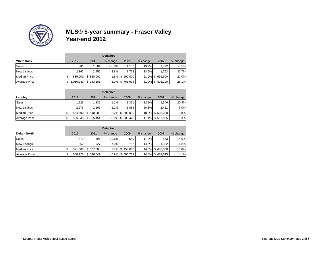

| <b>White Rock</b>    | 2012         | 2011       | % change | 2009           | % change  | 2007             | % change |
|----------------------|--------------|------------|----------|----------------|-----------|------------------|----------|
| Sales                | 981          | 1.581      | $-38.0%$ | 1,137          | $-13.7\%$ | 1.072            | $-8.5%$  |
| New Listings         | 2,362        | 2.455      | $-3.8%$  | 1.768          | 33.6%     | 1.793            | 31.7%    |
| <b>Median Price</b>  | 835.000<br>S | \$ 820,000 |          | 1.8% \$690,000 |           | 21.0% \$695,900  | 20.0%    |
| <b>Average Price</b> | 010,233<br>S | \$953,181  |          | 6.0% \$765,994 |           | 31.9% \$ 801,190 | 26.1%    |

| Langley              | 2012          | 2011      | % change | 2009               | % change | 2007             | % change |
|----------------------|---------------|-----------|----------|--------------------|----------|------------------|----------|
| <b>Sales</b>         | 1,223         | 1,236     | $-1.1%$  | 1.391              | $-12.1%$ | 1.546            | $-20.9%$ |
| New Listings         | 2.276         | 2.166     | 5.1%     | 1.884              | 20.8%    | 2.421            | $-6.0%$  |
| <b>Median Price</b>  | \$<br>554.500 | \$540,000 |          | 2.7% \$ 500,000    |          | 10.9% \$ 505,000 | 9.8%     |
| <b>Average Price</b> | \$<br>565,045 | \$565,154 |          | $0.0\%$ \$ 508,478 |          | 11.1% \$ 517,005 | 9.3%     |

|                      |    | <b>Detached</b> |            |          |                |          |                 |          |  |  |
|----------------------|----|-----------------|------------|----------|----------------|----------|-----------------|----------|--|--|
| Delta - North        |    | 2012            | 2011       | % change | 2009           | % change | 2007            | % change |  |  |
| <b>Sales</b>         |    | 479             | 596        | $-19.6%$ | 540            | $-11.3%$ | 563             | $-14.9%$ |  |  |
| New Listings         |    | 862             | 927        | $-7.0%$  | 752            | 14.6%    | 1.062           | $-18.8%$ |  |  |
| <b>Median Price</b>  | ۰U | 521,000         | \$ 507,500 |          | 2.7% \$455,000 |          | 14.5% \$458,000 | 13.8%    |  |  |
| <b>Average Price</b> | Φ  | 550,725         | \$546,047  | 0.9%     | \$480,769      |          | 14.6% \$482,615 | 14.1%    |  |  |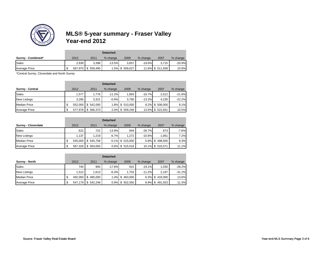

| Surrey - Combined*   | 2012  | 2011               | % change | 2009          | % change | 2007             | % change |
|----------------------|-------|--------------------|----------|---------------|----------|------------------|----------|
| Sales                | 2,939 | 3.398              | $-13.5%$ | 3.657         | $-19.6%$ | 3.715            | $-20.9%$ |
| <b>Average Price</b> | ۰D    | 567,970 \$ 559,490 |          | 5% \$ 509,027 |          | 11.6% \$ 511,939 | 10.9%    |

\*Central Surrey, Cloverdale and North Surrey

| <b>Surrey - Central</b> | 2012    | 2011      | % change | 2009            | % change  | 2007             | % change |
|-------------------------|---------|-----------|----------|-----------------|-----------|------------------|----------|
| <b>Sales</b>            | 1.577   | 1.776     | $-11.2%$ | 1.893           | $-16.7%$  | 2.012            | $-21.6%$ |
| <b>New Listings</b>     | 3.290   | 3,321     | $-0.9%$  | 3.790           | $-13.2\%$ | 4.230            | $-22.2%$ |
| <b>Median Price</b>     | 552.000 | \$542,000 |          | 1.8% \$ 510,000 |           | 8.2% \$ 506,000  | 9.1%     |
| <b>Average Price</b>    | 577,978 | \$566,373 |          | 2.0% \$ 509,246 |           | 13.5% \$ 522,831 | 10.5%    |

|                            |   | <b>Detached</b> |           |          |                     |          |                  |          |  |  |  |
|----------------------------|---|-----------------|-----------|----------|---------------------|----------|------------------|----------|--|--|--|
| <b>Surrey - Cloverdale</b> |   | 2012            | 2011      | % change | 2009                | % change | 2007             | % change |  |  |  |
| <b>Sales</b>               |   | 622             | 722       | $-13.9%$ | 849                 | $-26.7%$ | 673              | $-7.6%$  |  |  |  |
| <b>New Listings</b>        |   | 1.137           | 1.219     | $-6.7%$  | 1.272               | $-10.6%$ | 1.061            | 7.2%     |  |  |  |
| <b>Median Price</b>        | S | 545.000         | \$545,758 |          | $-0.1\%$ \$ 515,000 |          | 5.8% \$498,500   | 9.3%     |  |  |  |
| <b>Average Price</b>       | S | 567.326         | \$564.050 |          | $0.6\%$ \$ 515,516  |          | 10.1% \$ 510,571 | 11.1%    |  |  |  |

| Surrey - North       |    | 2012    | 2011          | % change | 2009            | % change | 2007           | % change |
|----------------------|----|---------|---------------|----------|-----------------|----------|----------------|----------|
| <b>Sales</b>         |    | 740     | 900           | $-17.8%$ | 915             | $-19.1%$ | 1.030          | $-28.2%$ |
| <b>New Listings</b>  |    | 1.512   | 1.613         | $-6.3%$  | 1.703           | $-11.2%$ | 2.197          | $-31.2%$ |
| <b>Median Price</b>  |    | 492.000 | 485.000<br>S  |          | 1.4% \$463,000  |          | 6.3% \$433,000 | 13.6%    |
| <b>Average Price</b> | ۰D | 547.179 | 542,249<br>\$ |          | 0.9% \$ 502,550 |          | 8.9% \$491,553 | 11.3%    |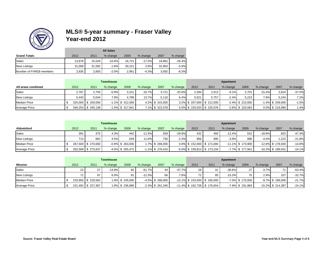

|                         |        | <b>All Sales</b> |           |        |          |        |          |  |  |  |  |  |
|-------------------------|--------|------------------|-----------|--------|----------|--------|----------|--|--|--|--|--|
| <b>Grand Totals</b>     | 2012   | 2011             | % change  | 2009   | % change | 2007   | % change |  |  |  |  |  |
| Sales                   | 13.878 | 15.529           | $-10.6\%$ | 16.721 | $-17.0%$ | 18.862 | $-26.4%$ |  |  |  |  |  |
| <b>New Listings</b>     | 31.009 | 31.592           | $-1.8%$   | 30.221 | 2.6%     | 32.953 | $-5.9%$  |  |  |  |  |  |
| Number of FVREB members | 2,835  | 2,893            | $-2.0%$   | 2,961  | $-4.3%$  | 3,092  | $-8.3%$  |  |  |  |  |  |

|                      |       |                    | <b>Townhouse</b> |                     |          |                 |           |       |                               | Apartment |                     |          |                     |          |
|----------------------|-------|--------------------|------------------|---------------------|----------|-----------------|-----------|-------|-------------------------------|-----------|---------------------|----------|---------------------|----------|
| All areas combined   | 2012  | 2011               | % change         | 2009                | % change | 2007            | % change  | 2012  | 201'                          | % change  | 2009                | % change | 2007                | % change |
| Sales                | 2.767 | 2.793              | $-0.9%$          | 3.321               | $-16.7%$ | 3.721           | $-25.6\%$ | 2.284 | 2.513                         | $-9.1%$   | 2.701               | $-15.4%$ | 3.624               | $-37.0%$ |
| <b>New Listings</b>  | 5.443 | 5.044              | 7.9%             | 4.786               | 13.7%    | 5.116           | 6.4%      | 5.621 | 5.757                         | $-2.4%$   | 5.223               | 7.6%     | 5.244               | 7.2%     |
| <b>Median Price</b>  |       | 325,000 \$ 329,000 |                  | $-1.2\%$ \$ 312,000 |          | 4.2% \$ 315,000 |           |       | $3.2\%$ \$ 207,000 \$ 212,000 |           | $-2.4\%$ \$ 210,000 |          | $-1.4\%$ \$ 209,000 | $-1.0%$  |
| <b>Average Price</b> |       | 340,253 \$345,138  |                  | $-1.4\%$ \$ 317,841 |          | 7.1% \$ 322,578 |           |       | 5.5% \$220,033 \$225,976      |           | $-2.6\%$ \$ 220,063 |          | 0.0% \$ 216,990     | 1.4%     |

|                      |      |                    | <b>Townhouse</b> |                     |          |                     |          |      |                                | Apartment |                      |           |                      |          |
|----------------------|------|--------------------|------------------|---------------------|----------|---------------------|----------|------|--------------------------------|-----------|----------------------|-----------|----------------------|----------|
| Abbotsford           | 2012 | 2011               | % change         | 2009                | % change | 2007                | % change | 2012 | 2011                           | % change  | 2009                 | % change  | 2007                 | % change |
| Sales                | 391  | 375                | 4.3%             | 442                 | $-11.5%$ | 558                 | $-29.9%$ | 432  | 493                            | $-12.4%$  | 531                  | $-18.6\%$ | 820                  | $-47.3%$ |
| <b>New Listings</b>  | 713  | 682                | 4.5%             | 639                 | 11.6%    | 730                 | $-2.3%$  | 956  | 995                            | $-3.9%$   | 996                  | $-4.0%$   | 1.222                | $-21.8%$ |
| <b>Median Price</b>  |      | 267.500 \$ 270.000 |                  | $-0.9\%$ \$ 263,000 |          | 1.7% \$ 266.000     |          |      | $0.6\%$ \$ 152,000 \$ 171,000  |           | $-11.1\%$ \$ 173.900 |           | $-12.6\%$ \$ 178.500 | $-14.8%$ |
| <b>Average Price</b> |      | 262,568 \$ 273,637 |                  | $-4.0\%$ \$ 265,472 |          | $-1.1\%$ \$ 276,410 |          |      | $-5.0\%$ \$ 159,813 \$ 173,104 |           | $-7.7\%$ \$ 177,941  |           | $-10.2\%$ \$ 186,031 | $-14.1%$ |

|                     |      |                    | <b>Townhouse</b> |                 |          |                     |          |      |                                 | Apartment |                     |          |                      |          |
|---------------------|------|--------------------|------------------|-----------------|----------|---------------------|----------|------|---------------------------------|-----------|---------------------|----------|----------------------|----------|
| Mission             | 2012 | 2011               | % change         | 2009            | % change | 2007                | % change | 2012 | 2011                            | % change  | 2009                | % change | 2007                 | % change |
| Sales               | 23   | 27                 | $-14.8%$         | 60              | $-61.7%$ |                     | $-47.7%$ | 26   |                                 | $-36.6%$  | 27                  | $-3.7\%$ | 74                   | $-63.4%$ |
| <b>New Listings</b> | 71   | 67                 | 6.0%             | 81              | $-12.3%$ | 66                  | 7.6%     | 72   | 85                              | $-15.3%$  | 70                  | 2.9%     | 107                  | $-32.7%$ |
| <b>Median Price</b> |      | 233,900 \$ 229,562 |                  | 1.9% \$ 245,000 |          | $-4.5\%$ \$ 266,000 |          |      | $-12.1\%$ \$ 153,500 \$ 165,000 |           | $-7.0\%$ \$ 170,000 |          | $-9.7\%$ \$ 196,000  | $-21.7%$ |
| Average Price       |      | 231,492 \$227,367  |                  | 1.8% \$ 236,890 |          | $-2.3\%$ \$ 261,345 |          |      | $-11.4\%$ \$ 162,738 \$ 176,654 |           | $-7.9\%$ \$ 191,983 |          | $-15.2\%$ \$ 214,387 | $-24.1%$ |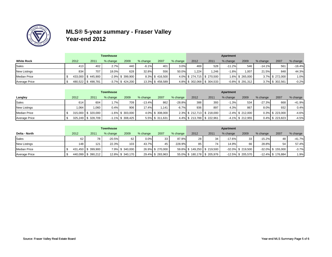

|                      |      |                   | <b>Townhouse</b> |                     |          |                 |          |       |                          | Apartment  |                     |          |                 |          |
|----------------------|------|-------------------|------------------|---------------------|----------|-----------------|----------|-------|--------------------------|------------|---------------------|----------|-----------------|----------|
| <b>White Rock</b>    | 2012 | 2011              | % change         | 2009                | % change | 2007            | % change | 2012  | 2011                     | $%$ change | 2009                | % change | 2007            | % change |
| <b>Sales</b>         | 413  | 402               | 2.7%             | 440                 | $-6.1%$  | 401             | 3.0%     | 469   | 528                      | $-11.2%$   | 546                 | $-14.1%$ | 561             | $-16.4%$ |
| <b>New Listings</b>  | 834  | 707               | 18.0%            | 628                 | 32.8%    | 556             | 50.0%    | 1.224 | 1.246                    | $-1.8%$    | 1.007               | 21.5%    | 848             | 44.3%    |
| <b>Median Price</b>  |      | 433,000 \$445,900 |                  | $-2.9\%$ \$ 399,900 |          | 8.3% \$416.500  |          |       | 4.0% \$274,715 \$270,500 |            | 1.6% \$ 265.000     |          | 3.7% \$ 272.000 | 1.0%     |
| <b>Average Price</b> |      | 480,522 \$498,781 |                  | $-3.7\%$ \$ 424,200 |          | 13.3% \$458,589 |          |       | 4.8% \$302,068 \$304,533 |            | $-0.8\%$ \$ 291,312 |          | 3.7% \$ 302,561 | $-0.2%$  |

|                     |       |                      | <b>Townhouse</b> |                     |          |                 |          |      |                               | Apartment |                     |            |                 |          |
|---------------------|-------|----------------------|------------------|---------------------|----------|-----------------|----------|------|-------------------------------|-----------|---------------------|------------|-----------------|----------|
| Langley             | 2012  | 2011                 | % change         | 2009                | % change | 2007            | % change | 2012 | 2011                          | % change  | 2009                | $%$ change | 2007            | % change |
| <b>Sales</b>        | 614   | 604                  | $.7\%$           | 709                 | $-13.4%$ | 862             | $-28.8%$ | 388  | 393                           | $-1.3%$   | 534                 | $-27.3\%$  | 668             | $-41.9%$ |
| <b>New Listings</b> | 1.064 | .060                 | 0.4%             | 906                 | 17.4%    | 1.141           | $-6.7%$  | 936  | 897                           | 4.3%      | 867                 | 8.0%       | 932             | 0.4%     |
| <b>Median Price</b> |       | 315,000   \$ 320,000 |                  | $-1.6\%$ \$ 303,000 |          | 4.0% \$ 308,000 |          |      | $2.3\%$ \$ 212,713 \$ 218,000 |           | $-2.4\%$ \$ 212,000 |            | 0.3% \$ 223,000 | $-4.6%$  |
| Average Price       |       | 325,249   \$ 328,709 |                  | $-1.1\%$ \$ 308,425 |          | 5.5% \$ 311,631 |          |      | 4.4% \$213,788 \$222,961      |           | $-4.1\%$ \$ 212,955 |            | 0.4% \$223,823  | $-4.5%$  |

|                     |      |                   | <b>Townhouse</b> |                  |          |                  |          |                 |                           | Apartment  |                      |           |                      |          |
|---------------------|------|-------------------|------------------|------------------|----------|------------------|----------|-----------------|---------------------------|------------|----------------------|-----------|----------------------|----------|
| Delta - North       | 2012 | 2011              | % change         | 2009             | % change | 2007             | % change | 2012            | 2011                      | $%$ change | 2009                 | % change  | 2007                 | % change |
| <b>Sales</b>        | 62   | 78                | $-20.5%$         | 62               | 0.0%     | 33               | 87.9%    | 28 <sup>1</sup> | 34 <sub>1</sub>           | $-17.6%$   | 33                   | $-15.2\%$ | 48                   | $-41.7%$ |
| <b>New Listings</b> | 148  | 121               | 22.3%            | 103              | 43.7%    | 45               | 228.9%   | 85              | 74 I                      | 14.9%      | 66                   | 28.8%     | 54                   | 57.4%    |
| <b>Median Price</b> |      | 431,450 \$399,900 |                  | 7.9% \$340,000   |          | 26.9% \$ 270,000 |          |                 | 59.8% \$149,250 \$219,500 |            | -32.0% \$ 219,500    |           | $-32.0\%$ \$ 155,000 | $-3.7%$  |
| Average Price       |      | 440,099 \$390,212 |                  | 12.8% \$ 340,170 |          | 29.4% \$ 283,963 |          |                 | 55.0% \$180,178 \$205,976 |            | $-12.5\%$ \$ 205,570 |           | $-12.4\%$ \$ 176,884 | 1.9%     |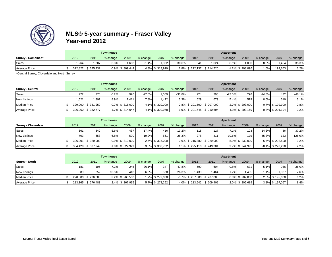

|                      |       |                    | <b>Townhouse</b> |                     |          |                 |          |      |                          | Apartment |                     |          |         |          |
|----------------------|-------|--------------------|------------------|---------------------|----------|-----------------|----------|------|--------------------------|-----------|---------------------|----------|---------|----------|
| Surrey - Combined*   | 2012  | 2011               | % change         | 2009                | % change | 2007            | % change | 2012 | 201'                     | % change  | 2009                | % change | 2007    | % change |
| Sales                | 1,264 | .307               | 3.3%             | 0.608               | $-21.4%$ | 1.822           | 30.6%    | 041  | 1.024                    | $-8.1%$   | 1.030               | $-8.6%$  | .454    | $-35.3%$ |
| <b>Average Price</b> |       | 322,822 \$ 325,732 |                  | $-0.9\%$ \$ 309,444 |          | 4.3% \$ 313,919 |          |      | 2.8% \$212,137 \$214,720 |           | $-1.2\%$ \$ 208,896 | 1.6%     | 199,663 | 6.2%     |

\*Central Surrey, Cloverdale and North Surrey

|                         |       |                    | <b>Townhouse</b> |                     |          |                 |          |      |                          | Apartment |                     |          |                     |          |
|-------------------------|-------|--------------------|------------------|---------------------|----------|-----------------|----------|------|--------------------------|-----------|---------------------|----------|---------------------|----------|
| <b>Surrey - Central</b> | 2012  | 2011               | % change         | 2009                | % change | 2007            | % change | 2012 | 2011                     | % change  | 2009                | % change | 2007                | % change |
| Sales                   | 722   | 770                | $-6.2%$          | 926                 | $-22.0%$ | 1.059           | $-31.8%$ | 224  | 293                      | $-23.5%$  | 296                 | $-24.3%$ | 432                 | $-48.1%$ |
| <b>New Listings</b>     | 1.521 | .397               | 8.9%             | 1.411               | 7.8%     | .472            | 3.3%     | 629  | 679                      | $-7.4%$   | 579                 | 8.6%     | 610                 | 3.1%     |
| <b>Median Price</b>     |       | 329,000 \$ 331,250 |                  | $-0.7\%$ \$ 316.000 |          | 4.1% \$ 320,000 |          |      | 2.8% \$201,500 \$207,000 |           | $-2.7\%$ \$ 203,000 |          | $-0.7\%$ \$ 199.900 | 0.8%     |
| <b>Average Price</b>    |       | 326,960 \$ 332,777 |                  | $-1.7\%$ \$ 314,047 |          | 4.1% \$320,978  |          |      | 1.9% \$201,545 \$210,694 |           | $-4.3\%$ \$ 203,169 |          | $-0.8\%$ \$ 201,194 | 0.2%     |

|                            |      |                    | <b>Townhouse</b> |                     |          |                 |          |      |                               | Apartment |                     |          |                     |          |
|----------------------------|------|--------------------|------------------|---------------------|----------|-----------------|----------|------|-------------------------------|-----------|---------------------|----------|---------------------|----------|
| <b>Surrey - Cloverdale</b> | 2012 | 2011               | % change         | 2009                | % change | 2007            | % change | 2012 | 2011                          | % change  | 2009                | % change | 2007                | % change |
| Sales                      | 361  | 342                | 5.6%             | 437                 | $-17.4%$ | 416             | $-13.2%$ | 118  | 127                           | $-7.1%$   | 103                 | 14.6%    | 86                  | 37.2%    |
| <b>New Listings</b>        | 703  | 658                | 6.8%             | 590                 | 19.2%    | 561             | 25.3%    | 278  | 311                           | $-10.6%$  | 179                 | 55.3%    | 123                 | 126.0%   |
| <b>Median Price</b>        |      | 326,901 \$ 329,900 |                  | $-0.9\%$ \$ 319,000 |          | 2.5% \$ 325,000 |          |      | $0.6\%$ \$ 215,380 \$ 229,000 |           | $-5.9\%$ \$ 230,000 |          | $-6.4\%$ \$ 222,500 | $-3.2%$  |
| <b>Average Price</b>       |      | 334,429 \$337,949  |                  | $-1.0\%$ \$ 322,929 |          | 3.6% \$ 330,702 |          |      | 1.1% \$ 225,110   \$ 249,301  |           | $-9.7\%$ \$ 244,995 |          | $-8.1\%$ \$ 220,220 | 2.2%     |

|                       |      |                    | <b>Townhouse</b> |                     |          |                 |          |      |                                | Apartment |                 |          |                 |          |
|-----------------------|------|--------------------|------------------|---------------------|----------|-----------------|----------|------|--------------------------------|-----------|-----------------|----------|-----------------|----------|
| <b>Surrey - North</b> | 2012 | 2011               | % change         | 2009                | % change | 2007            | % change | 2012 | 2011                           | % change  | 2009            | % change | 2007            | % change |
| Sales                 | 181  | 195                | $-7.2%$          | 245                 | $-26.1%$ | 347             | $-47.8%$ | 599  | 604                            | $-0.8%$   | 631             | $-5.1%$  | 936             | $-36.0%$ |
| <b>New Listings</b>   | 389  | 352                | 10.5%            | 418                 | $-6.9%$  | 528             | $-26.3%$ | .439 | 1.464                          | $-1.7%$   | 1.455           | $-1.1%$  | 1.337           | 7.6%     |
| <b>Median Price</b>   |      | 270,000 \$ 276,000 |                  | $-2.2\%$ \$ 265,500 |          | 1.7% \$ 272.000 |          |      | $-0.7\%$ \$ 207,000 \$ 207,000 |           | 0.0% \$ 202,000 |          | 2.5% \$195,000  | 6.2%     |
| <b>Average Price</b>  |      | 283,165 \$ 276,483 |                  | 2.4% \$ 267,995     |          | 5.7% \$ 272,252 |          |      | 4.0% \$213,542 \$209,402       |           | 2.0% \$ 205,689 |          | 3.8% \$ 197,067 | 8.4%     |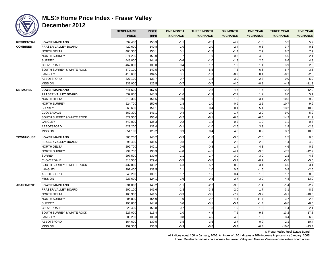

### **MLS® Home Price Index - Fraser Valley**

**December 2012**

|                    |                            | <b>BENCHMARK</b> | <b>INDEX</b> | <b>ONE MONTH</b> | <b>THREE MONTH</b> | <b>SIX MONTH</b> | <b>ONE YEAR</b> | <b>THREE YEAR</b> | <b>FIVE YEAR</b> |
|--------------------|----------------------------|------------------|--------------|------------------|--------------------|------------------|-----------------|-------------------|------------------|
|                    |                            | <b>PRICE</b>     | (HPI)        | % CHANGE         | % CHANGE           | % CHANGE         | % CHANGE        | % CHANGE          | % CHANGE         |
| <b>RESIDENTIAL</b> | <b>LOWER MAINLAND</b>      | 532,400          | 150.3        | $-1.1$           | $-2.5$             | $-4.2$           | $-1.6$          | 5.5               | 5.2              |
| <b>COMBINED</b>    | <b>FRASER VALLEY BOARD</b> | 420,600          | 140.8        | $-1.0$           | $-2.0$             | $-2.4$           | 0.5             | 3.7               | 0.1              |
|                    | NORTH DELTA                | 484,300          | 150.1        | 0.1              | $-1.2$             | $-1.4$           | 2.9             | 8.7               | 7.9              |
|                    | NORTH SURREY               | 371,200          | 153.0        | $-1.7$           | $-1.9$             | 0.8              | 4.3             | 5.6               | 2.1              |
|                    | <b>SURREY</b>              | 448,000          | 144.8        | $-0.6$           | $-1.0$             | $-1.3$           | 2.5             | 6.6               | 4.3              |
|                    | <b>CLOVERDALE</b>          | 467,000          | 139.0        | $-0.4$           | $-1.7$             | $-1.9$           | 1.1             | 3.9               | 2.3              |
|                    | SOUTH SURREY & WHITE ROCK  | 572,100          | 142.5        | $-3.0$           | $-5.5$             | $-7.3$           | $-6.6$          | 6.7               | 3.5              |
|                    | LANGLEY                    | 413,600          | 134.5        | 0.1              | $-1.3$             | $-0.9$           | 0.1             | $-0.2$            | $-2.5$           |
|                    | <b>ABBOTSFORD</b>          | 327,100          | 133.7        | $-0.7$           | $-1.3$             | $-3.0$           | 2.3             | 0.0               | $-5.9$           |
|                    | <b>MISSION</b>             | 332,900          | 125.5        | $-0.7$           | $-0.7$             | $-4.0$           | $-0.8$          | $-4.3$            | $-11.3$          |
| <b>DETACHED</b>    | <b>LOWER MAINLAND</b>      | 741,600          | 157.6        | $-1.1$           | $-2.8$             | $-4.7$           | $-1.4$          | 12.3              | 12.9             |
|                    | <b>FRASER VALLEY BOARD</b> | 539,000          | 143.9        | $-1.0$           | $-1.9$             | $-2.2$           | 1.2             | 8.0               | 5.1              |
|                    | NORTH DELTA                | 519,300          | 151.5        | 0.0              | $-1.1$             | $-1.0$           | 3.1             | 10.3              | 9.9              |
|                    | <b>NORTH SURREY</b>        | 524,700          | 150.6        | $-1.8$           | $-1.0$             | $-0.9$           | 2.5             | 10.7              | 9.9              |
|                    | <b>SURREY</b>              | 565,600          | 151.1        | $-0.5$           | $-0.4$             | $-0.1$           | 5.1             | 13.2              | 10.9             |
|                    | <b>CLOVERDALE</b>          | 562,300          | 141.1        | $-0.4$           | $-2.0$             | $-1.7$           | 2.0             | 9.0               | 5.9              |
|                    | SOUTH SURREY & WHITE ROCK  | 822,500          | 155.4        | $-3.2$           | $-6.1$             | $-6.8$           | $-6.5$          | 14.3              | 11.9             |
|                    | LANGLEY                    | 540,000          | 135.3        | $-0.2$           | $-1.3$             | $-0.2$           | 1.0             | 1.1               | $-0.8$           |
|                    | <b>ABBOTSFORD</b>          | 421,200          | 132.4        | $-0.1$           | $-1.0$             | $-2.5$           | 3.3             | 1.9               | $-2.8$           |
|                    | MISSION                    | 351,100          | 125.2        | $-0.9$           | $-0.4$             | $-4.0$           | $-0.2$          | $-3.7$            | $-10.9$          |
| <b>TOWNHOUSE</b>   | <b>LOWER MAINLAND</b>      | 386,200          | 140.2        | $-0.9$           | $-1.6$             | $-3.5$           | $-2.6$          | 1.5               | 0.8              |
|                    | FRASER VALLEY BOARD        | 296,400          | 131.6        | $-0.8$           | $-1.4$             | $-2.8$           | $-2.2$          | $-1.4$            | $-4.9$           |
|                    | NORTH DELTA                | 292,700          | 142.1        | 0.6              | $-0.8$             | $-1.4$           | 4.3             | 4.6               | 0.5              |
|                    | NORTH SURREY               | 234,700          | 130.3        | $-4.0$           | $-4.5$             | $-4.1$           | $-9.8$          | $-7.2$            | $-12.2$          |
|                    | <b>SURREY</b>              | 297,500          | 130.9        | $-1.1$           | $-1.7$             | $-3.0$           | $-3.0$          | $-2.2$            | $-4.8$           |
|                    | <b>CLOVERDALE</b>          | 318,500          | 129.4        | $-0.5$           | $-0.8$             | $-3.7$           | $-0.9$          | $-5.3$            | $-5.5$           |
|                    | SOUTH SURREY & WHITE ROCK  | 437,800          | 133.2        | $-4.3$           | $-5.7$             | $-8.5$           | $-3.4$          | 4.6               | 3.1              |
|                    | LANGLEY                    | 292,400          | 133.5        | 1.1              | 1.0                | 0.5              | $-1.5$          | 0.9               | $-2.6$           |
|                    | <b>ABBOTSFORD</b>          | 240,200          | 130.1        | 1.7              | 1.5                | 0.4              | 1.6             | $-1.7$            | $-8.5$           |
|                    | <b>MISSION</b>             | 227,600          | 124.1        | 1.6              | 0.8                | $-2.7$           | $-3.0$          | $-4.8$            | $-13.0$          |
| <b>APARTMENT</b>   | <b>LOWER MAINLAND</b>      | 331,000          | 145.2        | $-1.1$           | $-2.2$             | $-3.8$           | $-1.4$          | $-1.4$            | $-2.7$           |
|                    | FRASER VALLEY BOARD        | 200,100          | 141.6        | $-1.3$           | $-3.3$             | $-2.0$           | 1.7             | $-3.1$            | $-8.5$           |
|                    | NORTH DELTA                | 165,300          | 141.5        | $-0.3$           | $-3.5$             | $-7.9$           | $-3.2$          | $-9.1$            | $-10.6$          |
|                    | NORTH SURREY               | 204,800          | 164.0        | $-1.0$           | $-2.2$             | 4.4              | 11.7            | 3.7               | $-2.3$           |
|                    | <b>SURREY</b>              | 190,800          | 144.8        | 0.0              | $-3.1$             | $-5.4$           | $-1.4$          | $-6.8$            | $-8.5$           |
|                    | <b>CLOVERDALE</b>          | 225,400          | 155.8        | $-0.7$           | $-1.8$             | 1.0              | 1.8             | 1.4               | $-2.1$           |
|                    | SOUTH SURREY & WHITE ROCK  | 227,000          | 115.4        | $-1.0$           | $-4.4$             | $-7.5$           | $-9.8$          | $-13.2$           | $-17.8$          |
|                    | LANGLEY                    | 206,200          | 135.3        | $-0.8$           | $-4.5$             | $-4.6$           | 1.0             | $-3.4$            | $-6.2$           |
|                    | ABBOTSFORD                 | 164,600          | 139.5        | $-3.5$           | $-3.6$             | $-2.7$           | 0.9             | $-2.1$            | $-10.4$          |
|                    | <b>MISSION</b>             | 159,300          | 135.5        | $-0.9$           | $-5.6$             | $-5.4$           | $-6.4$          | $-10.0$           | $-13.4$          |

© Fraser Valley Real Estate Board

All indices equal 100 in January, 2005. An index of 120 indicates a 20% increase in price since January, 2005. Lower Mainland combines data across the Fraser Valley and Greater Vancouver real estate board areas.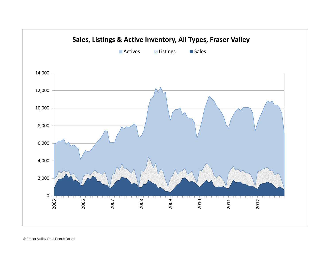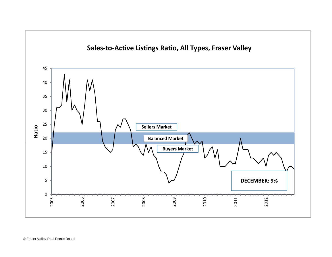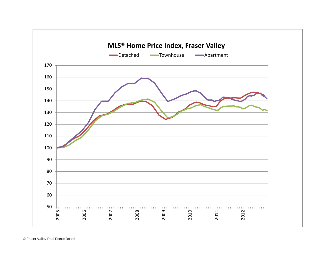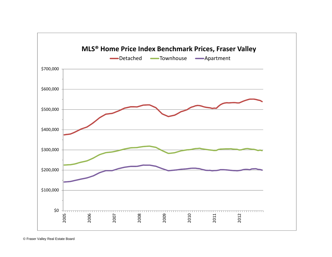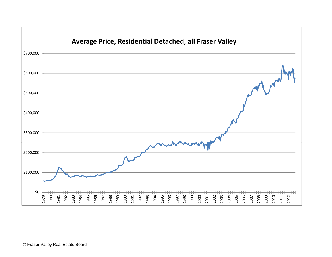